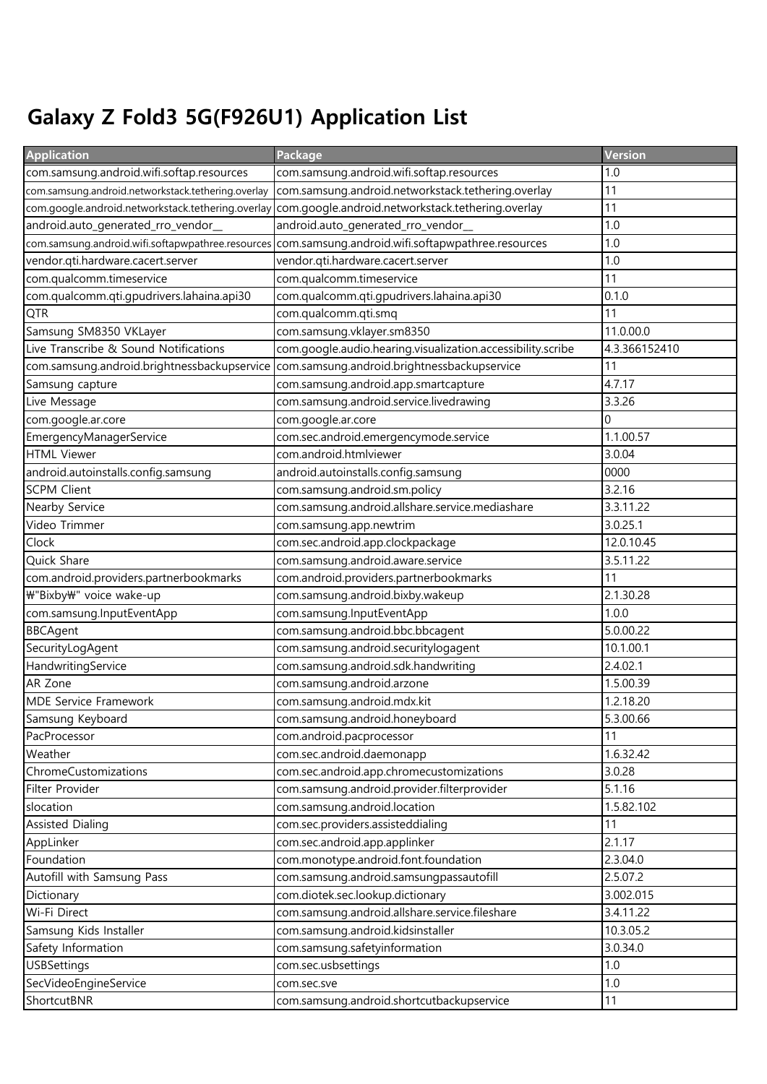## Galaxy Z Fold3 5G(F926U1) Application List

| <b>Application</b>                                 | Package                                                     | Version       |
|----------------------------------------------------|-------------------------------------------------------------|---------------|
| com.samsung.android.wifi.softap.resources          | com.samsung.android.wifi.softap.resources                   | 1.0           |
| com.samsung.android.networkstack.tethering.overlay | com.samsung.android.networkstack.tethering.overlay          | 11            |
| com.google.android.networkstack.tethering.overlay  | com.google.android.networkstack.tethering.overlay           | 11            |
| android.auto_generated_rro_vendor_                 | android.auto_generated_rro_vendor_                          | 1.0           |
| com.samsung.android.wifi.softapwpathree.resources  | com.samsung.android.wifi.softapwpathree.resources           | 1.0           |
| vendor.qti.hardware.cacert.server                  | vendor.qti.hardware.cacert.server                           | 1.0           |
| com.qualcomm.timeservice                           | com.qualcomm.timeservice                                    | 11            |
| com.qualcomm.qti.gpudrivers.lahaina.api30          | com.qualcomm.qti.gpudrivers.lahaina.api30                   | 0.1.0         |
| QTR                                                | com.qualcomm.qti.smq                                        | 11            |
| Samsung SM8350 VKLayer                             | com.samsung.vklayer.sm8350                                  | 11.0.00.0     |
| Live Transcribe & Sound Notifications              | com.google.audio.hearing.visualization.accessibility.scribe | 4.3.366152410 |
| com.samsung.android.brightnessbackupservice        | com.samsung.android.brightnessbackupservice                 | 11            |
| Samsung capture                                    | com.samsung.android.app.smartcapture                        | 4.7.17        |
| Live Message                                       | com.samsung.android.service.livedrawing                     | 3.3.26        |
| com.google.ar.core                                 | com.google.ar.core                                          | $\Omega$      |
| EmergencyManagerService                            | com.sec.android.emergencymode.service                       | 1.1.00.57     |
| <b>HTML Viewer</b>                                 | com.android.htmlviewer                                      | 3.0.04        |
| android.autoinstalls.config.samsung                | android.autoinstalls.config.samsung                         | 0000          |
| <b>SCPM Client</b>                                 | com.samsung.android.sm.policy                               | 3.2.16        |
| Nearby Service                                     | com.samsung.android.allshare.service.mediashare             | 3.3.11.22     |
| Video Trimmer                                      | com.samsung.app.newtrim                                     | 3.0.25.1      |
| Clock                                              | com.sec.android.app.clockpackage                            | 12.0.10.45    |
| Quick Share                                        | com.samsung.android.aware.service                           | 3.5.11.22     |
| com.android.providers.partnerbookmarks             | com.android.providers.partnerbookmarks                      | 11            |
| ₩"Bixby₩" voice wake-up                            | com.samsung.android.bixby.wakeup                            | 2.1.30.28     |
| com.samsung.InputEventApp                          | com.samsung.InputEventApp                                   | 1.0.0         |
| <b>BBCAgent</b>                                    | com.samsung.android.bbc.bbcagent                            | 5.0.00.22     |
| SecurityLogAgent                                   | com.samsung.android.securitylogagent                        | 10.1.00.1     |
| HandwritingService                                 | com.samsung.android.sdk.handwriting                         | 2.4.02.1      |
| AR Zone                                            | com.samsung.android.arzone                                  | 1.5.00.39     |
| <b>MDE Service Framework</b>                       | com.samsung.android.mdx.kit                                 | 1.2.18.20     |
| Samsung Keyboard                                   | com.samsung.android.honeyboard                              | 5.3.00.66     |
| PacProcessor                                       | com.android.pacprocessor                                    | 11            |
| Weather                                            | com.sec.android.daemonapp                                   | 1.6.32.42     |
| ChromeCustomizations                               | com.sec.android.app.chromecustomizations                    | 3.0.28        |
| Filter Provider                                    | com.samsung.android.provider.filterprovider                 | 5.1.16        |
| slocation                                          | com.samsung.android.location                                | 1.5.82.102    |
| <b>Assisted Dialing</b>                            | com.sec.providers.assisteddialing                           | 11            |
| AppLinker                                          | com.sec.android.app.applinker                               | 2.1.17        |
| Foundation                                         | com.monotype.android.font.foundation                        | 2.3.04.0      |
| Autofill with Samsung Pass                         | com.samsung.android.samsungpassautofill                     | 2.5.07.2      |
| Dictionary                                         | com.diotek.sec.lookup.dictionary                            | 3.002.015     |
| Wi-Fi Direct                                       | com.samsung.android.allshare.service.fileshare              | 3.4.11.22     |
| Samsung Kids Installer                             | com.samsung.android.kidsinstaller                           | 10.3.05.2     |
| Safety Information                                 | com.samsung.safetyinformation                               | 3.0.34.0      |
| <b>USBSettings</b>                                 | com.sec.usbsettings                                         | 1.0           |
| SecVideoEngineService                              | com.sec.sve                                                 | 1.0           |
| ShortcutBNR                                        | com.samsung.android.shortcutbackupservice                   | 11            |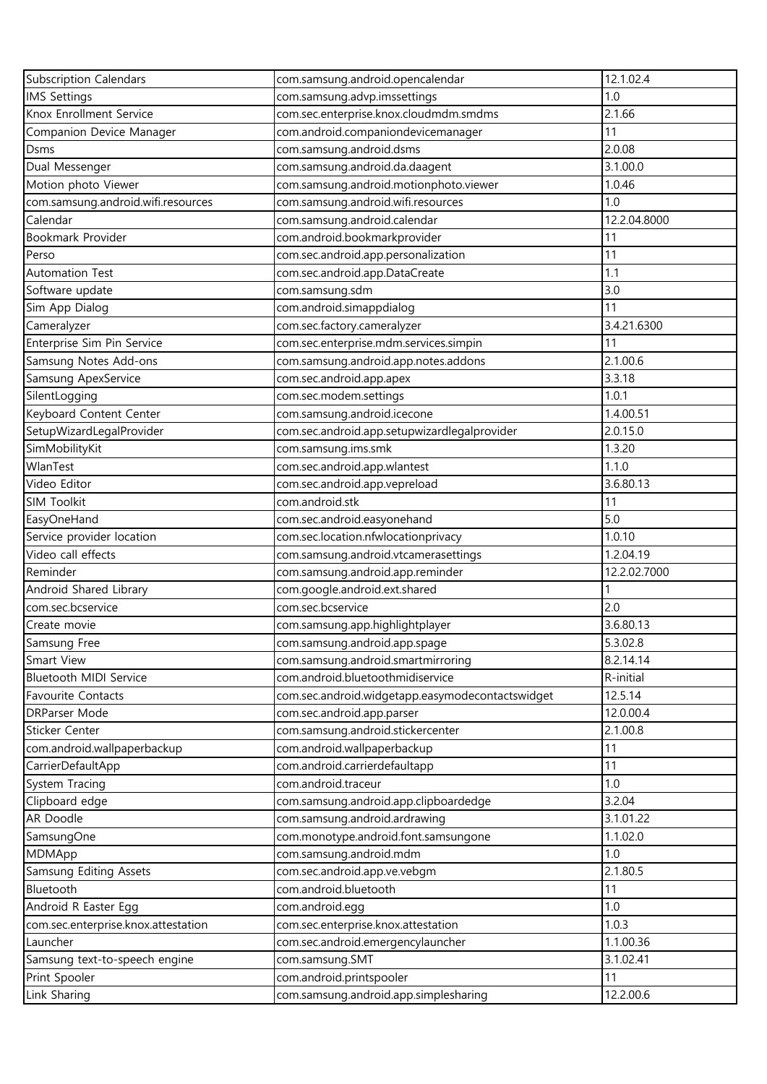| <b>Subscription Calendars</b>       | com.samsung.android.opencalendar                                | 12.1.02.4    |
|-------------------------------------|-----------------------------------------------------------------|--------------|
| <b>IMS Settings</b>                 | com.samsung.advp.imssettings                                    | 1.0          |
| Knox Enrollment Service             | com.sec.enterprise.knox.cloudmdm.smdms                          | 2.1.66       |
| Companion Device Manager            | com.android.companiondevicemanager                              | 11           |
| Dsms                                | com.samsung.android.dsms                                        | 2.0.08       |
| Dual Messenger                      | com.samsung.android.da.daagent                                  | 3.1.00.0     |
| Motion photo Viewer                 | com.samsung.android.motionphoto.viewer                          | 1.0.46       |
| com.samsung.android.wifi.resources  | com.samsung.android.wifi.resources                              | 1.0          |
| Calendar                            | com.samsung.android.calendar                                    | 12.2.04.8000 |
| Bookmark Provider                   | com.android.bookmarkprovider                                    | 11           |
| Perso                               | com.sec.android.app.personalization                             | 11           |
| <b>Automation Test</b>              | com.sec.android.app.DataCreate                                  | 1.1          |
| Software update                     | com.samsung.sdm                                                 | 3.0          |
| Sim App Dialog                      | com.android.simappdialog                                        | 11           |
| Cameralyzer                         | com.sec.factory.cameralyzer                                     | 3.4.21.6300  |
| Enterprise Sim Pin Service          | com.sec.enterprise.mdm.services.simpin                          | 11           |
| Samsung Notes Add-ons               | com.samsung.android.app.notes.addons                            | 2.1.00.6     |
| Samsung ApexService                 | com.sec.android.app.apex                                        | 3.3.18       |
| SilentLogging                       | com.sec.modem.settings                                          | 1.0.1        |
| Keyboard Content Center             | com.samsung.android.icecone                                     | 1.4.00.51    |
| SetupWizardLegalProvider            | com.sec.android.app.setupwizardlegalprovider                    | 2.0.15.0     |
| SimMobilityKit                      | com.samsung.ims.smk                                             | 1.3.20       |
| WlanTest                            | com.sec.android.app.wlantest                                    | 1.1.0        |
| Video Editor                        | com.sec.android.app.vepreload                                   | 3.6.80.13    |
| SIM Toolkit                         | com.android.stk                                                 | 11           |
| EasyOneHand                         | com.sec.android.easyonehand                                     | 5.0          |
| Service provider location           | com.sec.location.nfwlocationprivacy                             | 1.0.10       |
| Video call effects                  | com.samsung.android.vtcamerasettings                            | 1.2.04.19    |
| Reminder                            | com.samsung.android.app.reminder                                | 12.2.02.7000 |
| Android Shared Library              | com.google.android.ext.shared                                   |              |
| com.sec.bcservice                   | com.sec.bcservice                                               | 2.0          |
| Create movie                        | com.samsung.app.highlightplayer                                 | 3.6.80.13    |
| Samsung Free                        | com.samsung.android.app.spage                                   | 5.3.02.8     |
| Smart View                          | com.samsung.android.smartmirroring                              | 8.2.14.14    |
| Bluetooth MIDI Service              | com.android.bluetoothmidiservice                                | R-initial    |
| Favourite Contacts                  | com.sec.android.widgetapp.easymodecontactswidget                | 12.5.14      |
| DRParser Mode                       |                                                                 | 12.0.00.4    |
| Sticker Center                      | com.sec.android.app.parser<br>com.samsung.android.stickercenter | 2.1.00.8     |
| com.android.wallpaperbackup         | com.android.wallpaperbackup                                     | 11           |
|                                     |                                                                 |              |
| CarrierDefaultApp                   | com.android.carrierdefaultapp                                   | 11<br>1.0    |
| System Tracing                      | com.android.traceur                                             |              |
| Clipboard edge                      | com.samsung.android.app.clipboardedge                           | 3.2.04       |
| AR Doodle                           | com.samsung.android.ardrawing                                   | 3.1.01.22    |
| SamsungOne                          | com.monotype.android.font.samsungone                            | 1.1.02.0     |
| <b>MDMApp</b>                       | com.samsung.android.mdm                                         | 1.0          |
| Samsung Editing Assets              | com.sec.android.app.ve.vebgm                                    | 2.1.80.5     |
| Bluetooth                           | com.android.bluetooth                                           | 11           |
| Android R Easter Egg                | com.android.egg                                                 | 1.0          |
| com.sec.enterprise.knox.attestation | com.sec.enterprise.knox.attestation                             | 1.0.3        |
| Launcher                            | com.sec.android.emergencylauncher                               | 1.1.00.36    |
| Samsung text-to-speech engine       | com.samsung.SMT                                                 | 3.1.02.41    |
| Print Spooler                       | com.android.printspooler                                        | 11           |
| Link Sharing                        | com.samsung.android.app.simplesharing                           | 12.2.00.6    |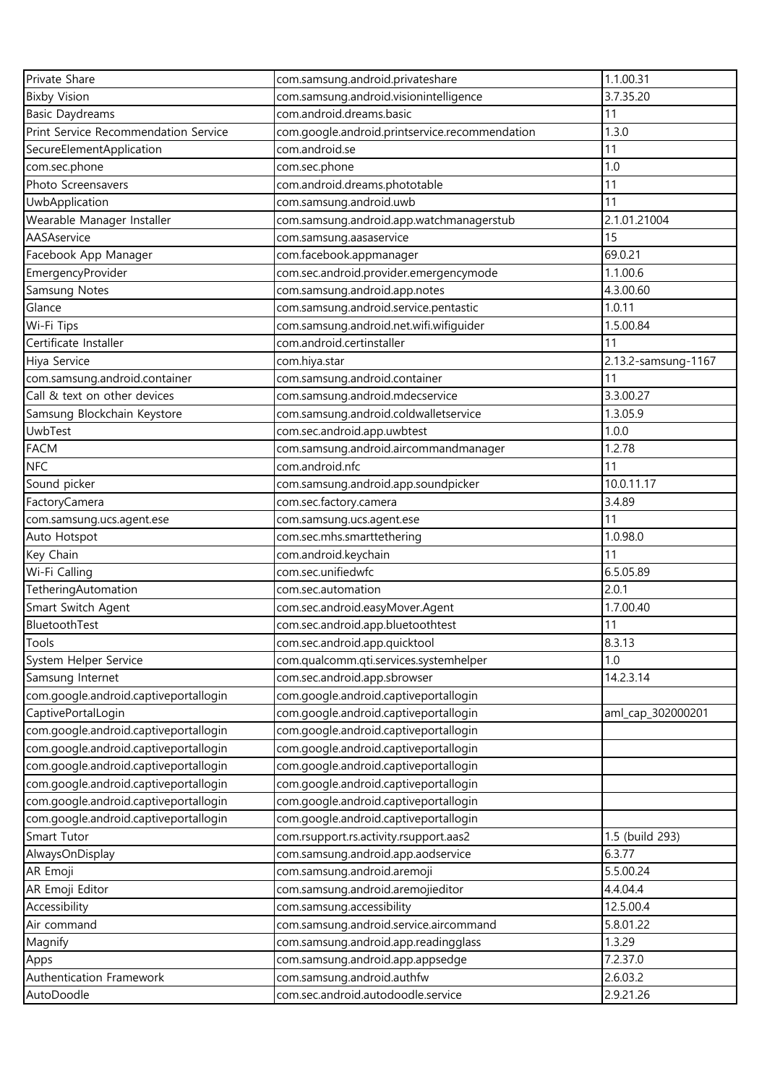| Private Share                                                                  | com.samsung.android.privateshare                                        | 1.1.00.31           |
|--------------------------------------------------------------------------------|-------------------------------------------------------------------------|---------------------|
| <b>Bixby Vision</b>                                                            | com.samsung.android.visionintelligence                                  | 3.7.35.20           |
| <b>Basic Daydreams</b>                                                         | com.android.dreams.basic                                                | 11                  |
| Print Service Recommendation Service                                           | com.google.android.printservice.recommendation                          | 1.3.0               |
| SecureElementApplication                                                       | com.android.se                                                          | 11                  |
| com.sec.phone                                                                  | com.sec.phone                                                           | 1.0                 |
| Photo Screensavers                                                             | com.android.dreams.phototable                                           | 11                  |
| UwbApplication                                                                 | com.samsung.android.uwb                                                 | 11                  |
| Wearable Manager Installer                                                     | com.samsung.android.app.watchmanagerstub                                | 2.1.01.21004        |
| AASAservice                                                                    | com.samsung.aasaservice                                                 | 15                  |
| Facebook App Manager                                                           | com.facebook.appmanager                                                 | 69.0.21             |
| EmergencyProvider                                                              | com.sec.android.provider.emergencymode                                  | 1.1.00.6            |
| Samsung Notes                                                                  | com.samsung.android.app.notes                                           | 4.3.00.60           |
| Glance                                                                         | com.samsung.android.service.pentastic                                   | 1.0.11              |
| Wi-Fi Tips                                                                     | com.samsung.android.net.wifi.wifiguider                                 | 1.5.00.84           |
| Certificate Installer                                                          | com.android.certinstaller                                               | 11                  |
| Hiya Service                                                                   | com.hiya.star                                                           | 2.13.2-samsung-1167 |
| com.samsung.android.container                                                  | com.samsung.android.container                                           | 11                  |
| Call & text on other devices                                                   | com.samsung.android.mdecservice                                         | 3.3.00.27           |
| Samsung Blockchain Keystore                                                    | com.samsung.android.coldwalletservice                                   | 1.3.05.9            |
| UwbTest                                                                        | com.sec.android.app.uwbtest                                             | 1.0.0               |
| <b>FACM</b>                                                                    | com.samsung.android.aircommandmanager                                   | 1.2.78              |
| <b>NFC</b>                                                                     | com.android.nfc                                                         | 11                  |
| Sound picker                                                                   | com.samsung.android.app.soundpicker                                     | 10.0.11.17          |
| FactoryCamera                                                                  | com.sec.factory.camera                                                  | 3.4.89              |
| com.samsung.ucs.agent.ese                                                      | com.samsung.ucs.agent.ese                                               | 11                  |
| Auto Hotspot                                                                   | com.sec.mhs.smarttethering                                              | 1.0.98.0            |
| Key Chain                                                                      | com.android.keychain                                                    | 11                  |
| Wi-Fi Calling                                                                  | com.sec.unifiedwfc                                                      | 6.5.05.89           |
| TetheringAutomation                                                            | com.sec.automation                                                      | 2.0.1               |
| Smart Switch Agent                                                             | com.sec.android.easyMover.Agent                                         | 1.7.00.40           |
| BluetoothTest                                                                  | com.sec.android.app.bluetoothtest                                       | 11                  |
| Tools                                                                          |                                                                         | 8.3.13              |
| System Helper Service                                                          | com.sec.android.app.quicktool<br>com.qualcomm.qti.services.systemhelper | 1.0                 |
| Samsung Internet                                                               | com.sec.android.app.sbrowser                                            | 14.2.3.14           |
| com.google.android.captiveportallogin                                          | com.google.android.captiveportallogin                                   |                     |
| CaptivePortalLogin                                                             | com.google.android.captiveportallogin                                   | aml_cap_302000201   |
|                                                                                | com.google.android.captiveportallogin                                   |                     |
| com.google.android.captiveportallogin                                          | com.google.android.captiveportallogin                                   |                     |
| com.google.android.captiveportallogin<br>com.google.android.captiveportallogin |                                                                         |                     |
|                                                                                | com.google.android.captiveportallogin                                   |                     |
| com.google.android.captiveportallogin                                          | com.google.android.captiveportallogin                                   |                     |
| com.google.android.captiveportallogin                                          | com.google.android.captiveportallogin                                   |                     |
| com.google.android.captiveportallogin                                          | com.google.android.captiveportallogin                                   |                     |
| Smart Tutor                                                                    | com.rsupport.rs.activity.rsupport.aas2                                  | 1.5 (build 293)     |
| AlwaysOnDisplay                                                                | com.samsung.android.app.aodservice                                      | 6.3.77              |
| AR Emoji                                                                       | com.samsung.android.aremoji                                             | 5.5.00.24           |
| AR Emoji Editor                                                                | com.samsung.android.aremojieditor                                       | 4.4.04.4            |
| Accessibility                                                                  | com.samsung.accessibility                                               | 12.5.00.4           |
| Air command                                                                    | com.samsung.android.service.aircommand                                  | 5.8.01.22           |
| Magnify                                                                        | com.samsung.android.app.readingglass                                    | 1.3.29              |
| Apps                                                                           | com.samsung.android.app.appsedge                                        | 7.2.37.0            |
| Authentication Framework                                                       | com.samsung.android.authfw                                              | 2.6.03.2            |
| AutoDoodle                                                                     | com.sec.android.autodoodle.service                                      | 2.9.21.26           |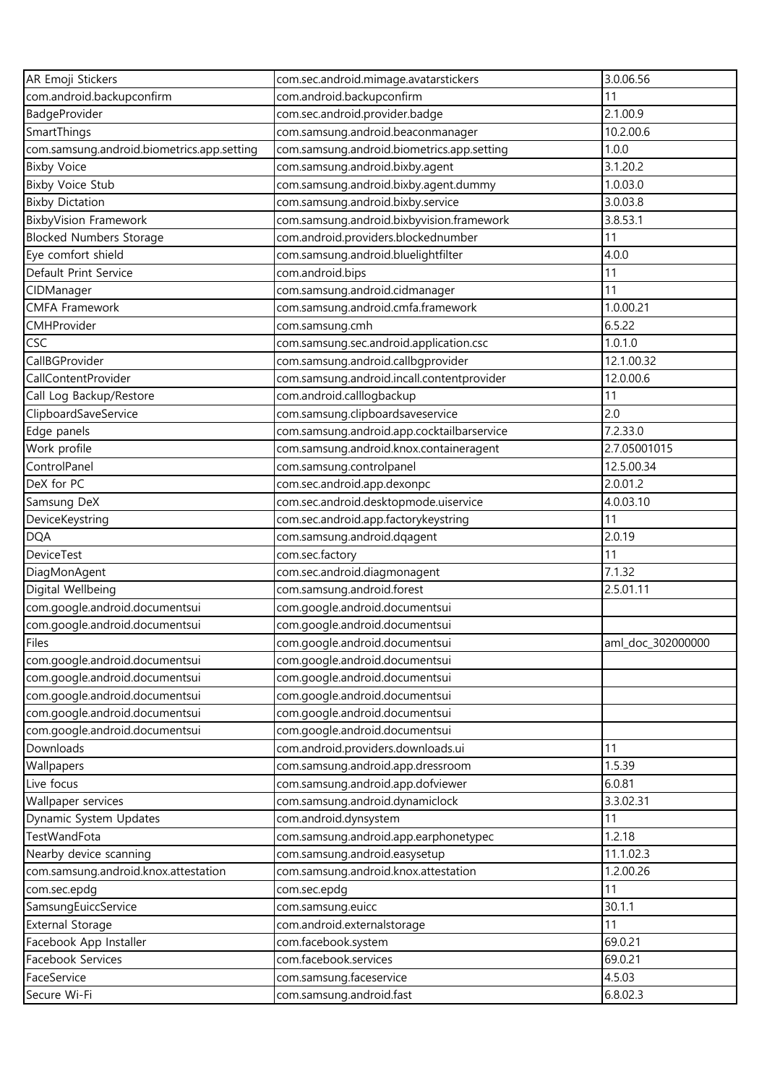| AR Emoji Stickers                          | com.sec.android.mimage.avatarstickers      | 3.0.06.56         |
|--------------------------------------------|--------------------------------------------|-------------------|
| com.android.backupconfirm                  | com.android.backupconfirm                  | 11                |
| BadgeProvider                              | com.sec.android.provider.badge             | 2.1.00.9          |
| SmartThings                                | com.samsung.android.beaconmanager          | 10.2.00.6         |
| com.samsung.android.biometrics.app.setting | com.samsung.android.biometrics.app.setting | 1.0.0             |
| <b>Bixby Voice</b>                         | com.samsung.android.bixby.agent            | 3.1.20.2          |
| <b>Bixby Voice Stub</b>                    | com.samsung.android.bixby.agent.dummy      | 1.0.03.0          |
| <b>Bixby Dictation</b>                     | com.samsung.android.bixby.service          | 3.0.03.8          |
| <b>BixbyVision Framework</b>               | com.samsung.android.bixbyvision.framework  | 3.8.53.1          |
| <b>Blocked Numbers Storage</b>             | com.android.providers.blockednumber        | 11                |
| Eye comfort shield                         | com.samsung.android.bluelightfilter        | 4.0.0             |
| Default Print Service                      | com.android.bips                           | 11                |
| CIDManager                                 | com.samsung.android.cidmanager             | 11                |
| <b>CMFA Framework</b>                      | com.samsung.android.cmfa.framework         | 1.0.00.21         |
| CMHProvider                                | com.samsung.cmh                            | 6.5.22            |
| CSC                                        | com.samsung.sec.android.application.csc    | 1.0.1.0           |
| CallBGProvider                             | com.samsung.android.callbgprovider         | 12.1.00.32        |
| CallContentProvider                        | com.samsung.android.incall.contentprovider | 12.0.00.6         |
| Call Log Backup/Restore                    | com.android.calllogbackup                  | 11                |
| ClipboardSaveService                       | com.samsung.clipboardsaveservice           | 2.0               |
| Edge panels                                | com.samsung.android.app.cocktailbarservice | 7.2.33.0          |
| Work profile                               | com.samsung.android.knox.containeragent    | 2.7.05001015      |
| ControlPanel                               | com.samsung.controlpanel                   | 12.5.00.34        |
| DeX for PC                                 | com.sec.android.app.dexonpc                | 2.0.01.2          |
| Samsung DeX                                | com.sec.android.desktopmode.uiservice      | 4.0.03.10         |
| DeviceKeystring                            | com.sec.android.app.factorykeystring       | 11                |
| <b>DQA</b>                                 | com.samsung.android.dqagent                | 2.0.19            |
| <b>DeviceTest</b>                          | com.sec.factory                            | 11                |
| DiagMonAgent                               | com.sec.android.diagmonagent               | 7.1.32            |
| Digital Wellbeing                          | com.samsung.android.forest                 | 2.5.01.11         |
| com.google.android.documentsui             | com.google.android.documentsui             |                   |
| com.google.android.documentsui             | com.google.android.documentsui             |                   |
| Files                                      | com.google.android.documentsui             | aml doc 302000000 |
| com.google.android.documentsui             | com.google.android.documentsui             |                   |
| com.google.android.documentsui             | com.google.android.documentsui             |                   |
| com.google.android.documentsui             | com.google.android.documentsui             |                   |
| com.google.android.documentsui             | com.google.android.documentsui             |                   |
| com.google.android.documentsui             | com.google.android.documentsui             |                   |
| Downloads                                  | com.android.providers.downloads.ui         | 11                |
| Wallpapers                                 | com.samsung.android.app.dressroom          | 1.5.39            |
| Live focus                                 | com.samsung.android.app.dofviewer          | 6.0.81            |
| Wallpaper services                         | com.samsung.android.dynamiclock            | 3.3.02.31         |
| Dynamic System Updates                     | com.android.dynsystem                      | 11                |
| <b>TestWandFota</b>                        | com.samsung.android.app.earphonetypec      | 1.2.18            |
| Nearby device scanning                     | com.samsung.android.easysetup              | 11.1.02.3         |
| com.samsung.android.knox.attestation       | com.samsung.android.knox.attestation       | 1.2.00.26         |
| com.sec.epdg                               | com.sec.epdg                               | 11                |
| SamsungEuiccService                        | com.samsung.euicc                          | 30.1.1            |
| <b>External Storage</b>                    | com.android.externalstorage                | 11                |
| Facebook App Installer                     | com.facebook.system                        | 69.0.21           |
| Facebook Services                          | com.facebook.services                      | 69.0.21           |
| FaceService                                | com.samsung.faceservice                    | 4.5.03            |
| Secure Wi-Fi                               | com.samsung.android.fast                   | 6.8.02.3          |
|                                            |                                            |                   |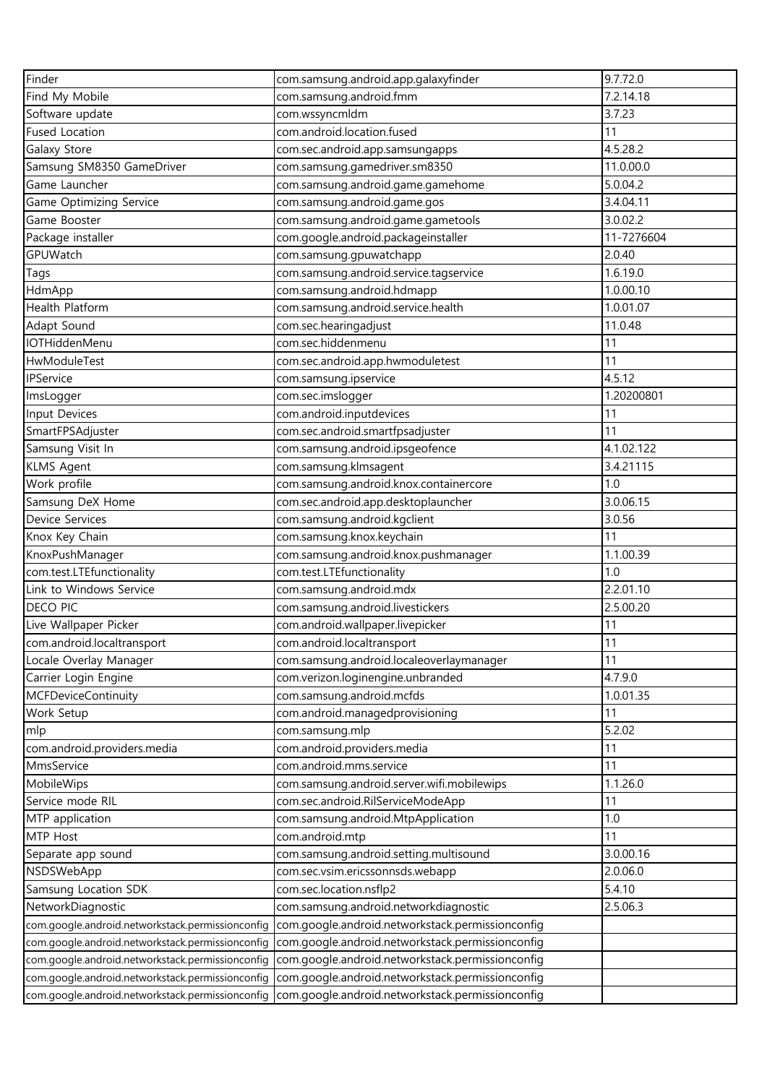| Finder                                           | com.samsung.android.app.galaxyfinder             | 9.7.72.0   |
|--------------------------------------------------|--------------------------------------------------|------------|
| Find My Mobile                                   | com.samsung.android.fmm                          | 7.2.14.18  |
| Software update                                  | com.wssyncmldm                                   | 3.7.23     |
| <b>Fused Location</b>                            | com.android.location.fused                       | 11         |
| Galaxy Store                                     | com.sec.android.app.samsungapps                  | 4.5.28.2   |
| Samsung SM8350 GameDriver                        | com.samsung.gamedriver.sm8350                    | 11.0.00.0  |
| Game Launcher                                    | com.samsung.android.game.gamehome                | 5.0.04.2   |
|                                                  |                                                  | 3.4.04.11  |
| Game Optimizing Service<br>Game Booster          | com.samsung.android.game.gos                     | 3.0.02.2   |
|                                                  | com.samsung.android.game.gametools               |            |
| Package installer                                | com.google.android.packageinstaller              | 11-7276604 |
| GPUWatch                                         | com.samsung.gpuwatchapp                          | 2.0.40     |
| Tags                                             | com.samsung.android.service.tagservice           | 1.6.19.0   |
| HdmApp                                           | com.samsung.android.hdmapp                       | 1.0.00.10  |
| Health Platform                                  | com.samsung.android.service.health               | 1.0.01.07  |
| Adapt Sound                                      | com.sec.hearingadjust                            | 11.0.48    |
| <b>IOTHiddenMenu</b>                             | com.sec.hiddenmenu                               | 11         |
| HwModuleTest                                     | com.sec.android.app.hwmoduletest                 | 11         |
| IPService                                        | com.samsung.ipservice                            | 4.5.12     |
| ImsLogger                                        | com.sec.imslogger                                | 1.20200801 |
| Input Devices                                    | com.android.inputdevices                         | 11         |
| SmartFPSAdjuster                                 | com.sec.android.smartfpsadjuster                 | 11         |
| Samsung Visit In                                 | com.samsung.android.ipsgeofence                  | 4.1.02.122 |
| <b>KLMS Agent</b>                                | com.samsung.klmsagent                            | 3.4.21115  |
| Work profile                                     | com.samsung.android.knox.containercore           | 1.0        |
| Samsung DeX Home                                 | com.sec.android.app.desktoplauncher              | 3.0.06.15  |
| Device Services                                  | com.samsung.android.kgclient                     | 3.0.56     |
| Knox Key Chain                                   | com.samsung.knox.keychain                        | 11         |
| KnoxPushManager                                  | com.samsung.android.knox.pushmanager             | 1.1.00.39  |
| com.test.LTEfunctionality                        | com.test.LTEfunctionality                        | 1.0        |
| Link to Windows Service                          | com.samsung.android.mdx                          | 2.2.01.10  |
| <b>DECO PIC</b>                                  | com.samsung.android.livestickers                 | 2.5.00.20  |
| Live Wallpaper Picker                            | com.android.wallpaper.livepicker                 | 11         |
| com.android.localtransport                       | com.android.localtransport                       | 11         |
| Locale Overlay Manager                           | com.samsung.android.localeoverlaymanager         | 11         |
| Carrier Login Engine                             | com.verizon.loginengine.unbranded                | 4.7.9.0    |
| <b>MCFDeviceContinuity</b>                       | com.samsung.android.mcfds                        | 1.0.01.35  |
| Work Setup                                       | com.android.managedprovisioning                  | 11         |
| mlp                                              | com.samsung.mlp                                  | 5.2.02     |
| com.android.providers.media                      | com.android.providers.media                      | 11         |
| MmsService                                       | com.android.mms.service                          | 11         |
| MobileWips                                       | com.samsung.android.server.wifi.mobilewips       | 1.1.26.0   |
|                                                  |                                                  | 11         |
| Service mode RIL                                 | com.sec.android.RilServiceModeApp                |            |
| MTP application                                  | com.samsung.android.MtpApplication               | 1.0        |
| MTP Host                                         | com.android.mtp                                  | 11         |
| Separate app sound                               | com.samsung.android.setting.multisound           | 3.0.00.16  |
| NSDSWebApp                                       | com.sec.vsim.ericssonnsds.webapp                 | 2.0.06.0   |
| Samsung Location SDK                             | com.sec.location.nsflp2                          | 5.4.10     |
| NetworkDiagnostic                                | com.samsung.android.networkdiagnostic            | 2.5.06.3   |
| com.google.android.networkstack.permissionconfig | com.google.android.networkstack.permissionconfig |            |
| com.google.android.networkstack.permissionconfig | com.google.android.networkstack.permissionconfig |            |
| com.google.android.networkstack.permissionconfig | com.google.android.networkstack.permissionconfig |            |
| com.google.android.networkstack.permissionconfig | com.google.android.networkstack.permissionconfig |            |
| com.google.android.networkstack.permissionconfig | com.google.android.networkstack.permissionconfig |            |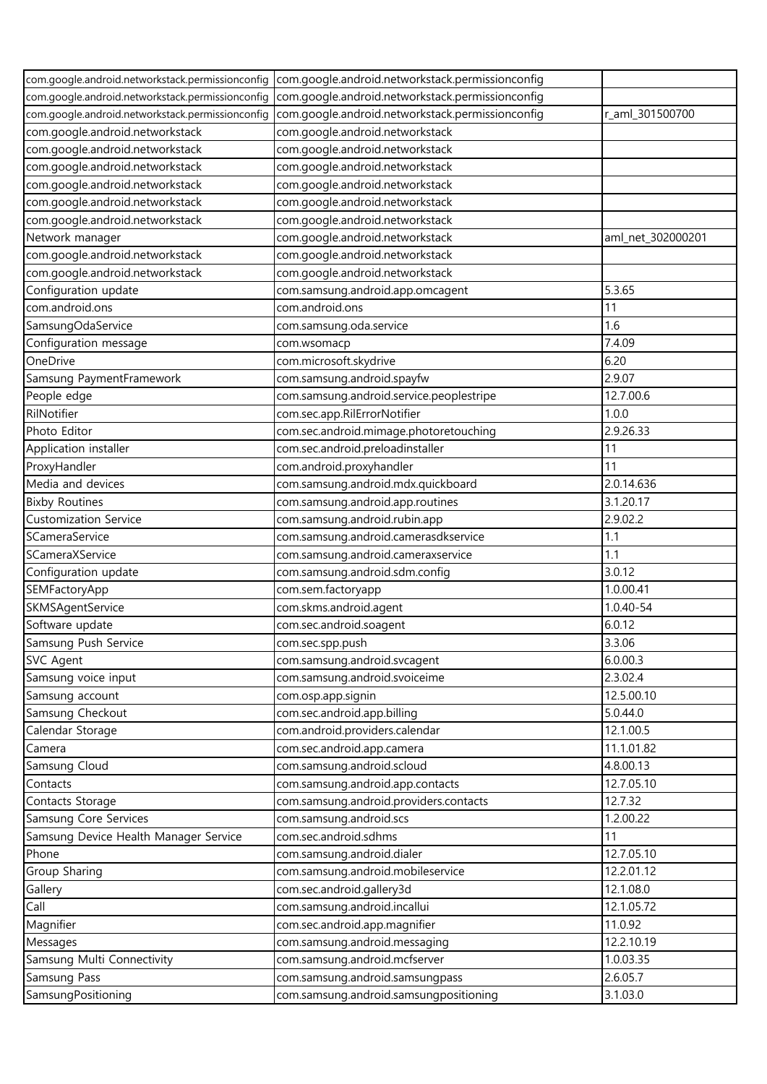| com.google.android.networkstack.permissionconfig | com.google.android.networkstack.permissionconfig |                   |
|--------------------------------------------------|--------------------------------------------------|-------------------|
| com.google.android.networkstack.permissionconfig | com.google.android.networkstack.permissionconfig |                   |
| com.google.android.networkstack.permissionconfig | com.google.android.networkstack.permissionconfig | r_aml_301500700   |
| com.google.android.networkstack                  | com.google.android.networkstack                  |                   |
| com.google.android.networkstack                  | com.google.android.networkstack                  |                   |
| com.google.android.networkstack                  | com.google.android.networkstack                  |                   |
| com.google.android.networkstack                  | com.google.android.networkstack                  |                   |
| com.google.android.networkstack                  | com.google.android.networkstack                  |                   |
| com.google.android.networkstack                  | com.google.android.networkstack                  |                   |
| Network manager                                  | com.google.android.networkstack                  | aml_net_302000201 |
| com.google.android.networkstack                  | com.google.android.networkstack                  |                   |
| com.google.android.networkstack                  | com.google.android.networkstack                  |                   |
| Configuration update                             | com.samsung.android.app.omcagent                 | 5.3.65            |
| com.android.ons                                  | com.android.ons                                  | 11                |
| SamsungOdaService                                | com.samsung.oda.service                          | 1.6               |
| Configuration message                            | com.wsomacp                                      | 7.4.09            |
| OneDrive                                         | com.microsoft.skydrive                           | 6.20              |
| Samsung PaymentFramework                         | com.samsung.android.spayfw                       | 2.9.07            |
| People edge                                      | com.samsung.android.service.peoplestripe         | 12.7.00.6         |
| RilNotifier                                      | com.sec.app.RilErrorNotifier                     | 1.0.0             |
| Photo Editor                                     | com.sec.android.mimage.photoretouching           | 2.9.26.33         |
| Application installer                            | com.sec.android.preloadinstaller                 | 11                |
| ProxyHandler                                     | com.android.proxyhandler                         | 11                |
| Media and devices                                | com.samsung.android.mdx.quickboard               | 2.0.14.636        |
| <b>Bixby Routines</b>                            | com.samsung.android.app.routines                 | 3.1.20.17         |
| <b>Customization Service</b>                     | com.samsung.android.rubin.app                    | 2.9.02.2          |
| SCameraService                                   | com.samsung.android.camerasdkservice             | 1.1               |
| SCameraXService                                  | com.samsung.android.cameraxservice               | 1.1               |
| Configuration update                             | com.samsung.android.sdm.config                   | 3.0.12            |
| SEMFactoryApp                                    | com.sem.factoryapp                               | 1.0.00.41         |
| SKMSAgentService                                 | com.skms.android.agent                           | 1.0.40-54         |
| Software update                                  | com.sec.android.soagent                          | 6.0.12            |
| Samsung Push Service                             | com.sec.spp.push                                 | 3.3.06            |
| SVC Agent                                        | com.samsung.android.svcagent                     | 6.0.00.3          |
| Samsung voice input                              | com.samsung.android.svoiceime                    | 2.3.02.4          |
| Samsung account                                  | com.osp.app.signin                               | 12.5.00.10        |
| Samsung Checkout                                 | com.sec.android.app.billing                      | 5.0.44.0          |
| Calendar Storage                                 | com.android.providers.calendar                   | 12.1.00.5         |
| Camera                                           | com.sec.android.app.camera                       | 11.1.01.82        |
| Samsung Cloud                                    | com.samsung.android.scloud                       | 4.8.00.13         |
| Contacts                                         | com.samsung.android.app.contacts                 | 12.7.05.10        |
| Contacts Storage                                 | com.samsung.android.providers.contacts           | 12.7.32           |
| Samsung Core Services                            | com.samsung.android.scs                          | 1.2.00.22         |
| Samsung Device Health Manager Service            | com.sec.android.sdhms                            | 11                |
| Phone                                            | com.samsung.android.dialer                       | 12.7.05.10        |
| Group Sharing                                    | com.samsung.android.mobileservice                | 12.2.01.12        |
| Gallery                                          | com.sec.android.gallery3d                        | 12.1.08.0         |
| Call                                             | com.samsung.android.incallui                     | 12.1.05.72        |
| Magnifier                                        | com.sec.android.app.magnifier                    | 11.0.92           |
| Messages                                         | com.samsung.android.messaging                    | 12.2.10.19        |
| Samsung Multi Connectivity                       | com.samsung.android.mcfserver                    | 1.0.03.35         |
| Samsung Pass                                     | com.samsung.android.samsungpass                  | 2.6.05.7          |
| SamsungPositioning                               | com.samsung.android.samsungpositioning           | 3.1.03.0          |
|                                                  |                                                  |                   |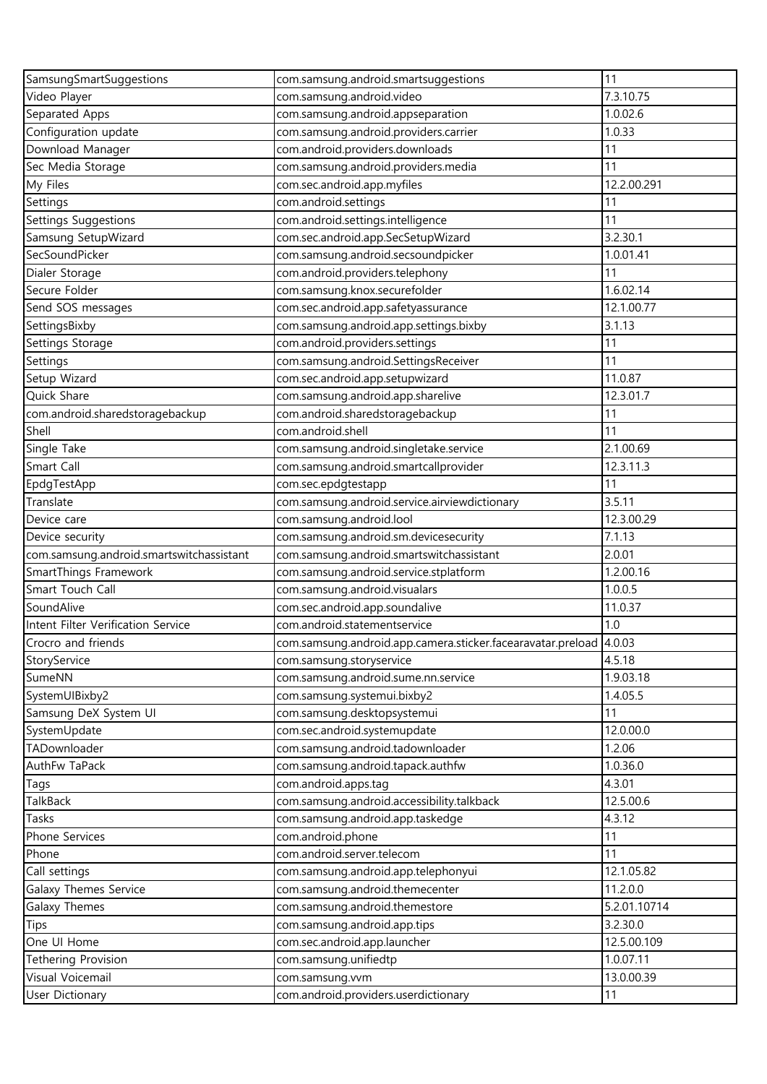| SamsungSmartSuggestions                  | com.samsung.android.smartsuggestions                               | 11           |
|------------------------------------------|--------------------------------------------------------------------|--------------|
| Video Player                             | com.samsung.android.video                                          | 7.3.10.75    |
| Separated Apps                           | com.samsung.android.appseparation                                  | 1.0.02.6     |
| Configuration update                     | com.samsung.android.providers.carrier                              | 1.0.33       |
| Download Manager                         | com.android.providers.downloads                                    | 11           |
| Sec Media Storage                        | com.samsung.android.providers.media                                | 11           |
| My Files                                 | com.sec.android.app.myfiles                                        | 12.2.00.291  |
| Settings                                 | com.android.settings                                               | 11           |
| Settings Suggestions                     | com.android.settings.intelligence                                  | 11           |
| Samsung SetupWizard                      | com.sec.android.app.SecSetupWizard                                 | 3.2.30.1     |
| SecSoundPicker                           | com.samsung.android.secsoundpicker                                 | 1.0.01.41    |
| Dialer Storage                           | com.android.providers.telephony                                    | 11           |
| Secure Folder                            | com.samsung.knox.securefolder                                      | 1.6.02.14    |
| Send SOS messages                        | com.sec.android.app.safetyassurance                                | 12.1.00.77   |
| SettingsBixby                            | com.samsung.android.app.settings.bixby                             | 3.1.13       |
| Settings Storage                         | com.android.providers.settings                                     | 11           |
| Settings                                 | com.samsung.android.SettingsReceiver                               | 11           |
| Setup Wizard                             | com.sec.android.app.setupwizard                                    | 11.0.87      |
| Quick Share                              | com.samsung.android.app.sharelive                                  | 12.3.01.7    |
| com.android.sharedstoragebackup          | com.android.sharedstoragebackup                                    | 11           |
| Shell                                    | com.android.shell                                                  | 11           |
| Single Take                              | com.samsung.android.singletake.service                             | 2.1.00.69    |
| Smart Call                               | com.samsung.android.smartcallprovider                              | 12.3.11.3    |
| EpdgTestApp                              | com.sec.epdgtestapp                                                | 11           |
| Translate                                | com.samsung.android.service.airviewdictionary                      | 3.5.11       |
| Device care                              | com.samsung.android.lool                                           | 12.3.00.29   |
| Device security                          | com.samsung.android.sm.devicesecurity                              | 7.1.13       |
| com.samsung.android.smartswitchassistant | com.samsung.android.smartswitchassistant                           | 2.0.01       |
| SmartThings Framework                    | com.samsung.android.service.stplatform                             | 1.2.00.16    |
| Smart Touch Call                         | com.samsung.android.visualars                                      | 1.0.0.5      |
| SoundAlive                               | com.sec.android.app.soundalive                                     | 11.0.37      |
| Intent Filter Verification Service       | com.android.statementservice                                       | 1.0          |
| Crocro and friends                       | com.samsung.android.app.camera.sticker.facearavatar.preload 4.0.03 |              |
| StoryService                             | com.samsung.storyservice                                           | 4.5.18       |
| SumeNN                                   | com.samsung.android.sume.nn.service                                | 1.9.03.18    |
| SystemUIBixby2                           | com.samsung.systemui.bixby2                                        | 1.4.05.5     |
| Samsung DeX System UI                    | com.samsung.desktopsystemui                                        | 11           |
| SystemUpdate                             | com.sec.android.systemupdate                                       | 12.0.00.0    |
| TADownloader                             | com.samsung.android.tadownloader                                   | 1.2.06       |
| AuthFw TaPack                            | com.samsung.android.tapack.authfw                                  | 1.0.36.0     |
| Tags                                     | com.android.apps.tag                                               | 4.3.01       |
| TalkBack                                 | com.samsung.android.accessibility.talkback                         | 12.5.00.6    |
| Tasks                                    | com.samsung.android.app.taskedge                                   | 4.3.12       |
| Phone Services                           | com.android.phone                                                  | 11           |
| Phone                                    | com.android.server.telecom                                         | 11           |
| Call settings                            | com.samsung.android.app.telephonyui                                | 12.1.05.82   |
| Galaxy Themes Service                    | com.samsung.android.themecenter                                    | 11.2.0.0     |
| Galaxy Themes                            | com.samsung.android.themestore                                     | 5.2.01.10714 |
| Tips                                     | com.samsung.android.app.tips                                       | 3.2.30.0     |
| One UI Home                              | com.sec.android.app.launcher                                       | 12.5.00.109  |
| <b>Tethering Provision</b>               | com.samsung.unifiedtp                                              | 1.0.07.11    |
| Visual Voicemail                         | com.samsung.vvm                                                    | 13.0.00.39   |
| User Dictionary                          | com.android.providers.userdictionary                               | 11           |
|                                          |                                                                    |              |